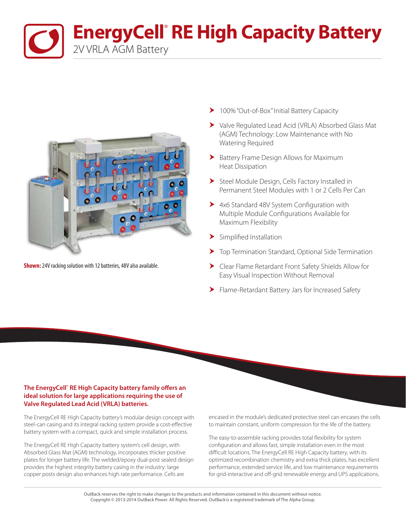**EnergyCell<sup>®</sup> RE High Capacity Battery** 2V VRLA AGM Battery



**Shown:**24V racking solution with 12 batteries, 48V also available.

- ▶ 100% "Out-of-Box" Initial Battery Capacity
- Valve Regulated Lead Acid (VRLA) Absorbed Glass Mat (AGM) Technology: Low Maintenance with No Watering Required
- Battery Frame Design Allows for Maximum Heat Dissipation
- Steel Module Design, Cells Factory Installed in Permanent Steel Modules with 1 or 2 Cells Per Can
- ▶ 4x6 Standard 48V System Configuration with Multiple Module Configurations Available for Maximum Flexibility
- > Simplified Installation
- Top Termination Standard, Optional Side Termination
- Clear Flame Retardant Front Safety Shields Allow for Easy Visual Inspection Without Removal
- Flame-Retardant Battery Jars for Increased Safety

## **The EnergyCell® RE High Capacity battery family offers an ideal solution for large applications requiring the use of Valve Regulated Lead Acid (VRLA) batteries.**

The EnergyCell RE High Capacity battery's modular design concept with steel-can casing and its integral racking system provide a cost-effective battery system with a compact, quick and simple installation process.

The EnergyCell RE High Capacity battery system's cell design, with Absorbed Glass Mat (AGM) technology, incorporates thicker positive plates for longer battery life. The welded/epoxy dual-post sealed design provides the highest integrity battery casing in the industry: large copper posts design also enhances high rate performance. Cells are

encased in the module's dedicated protective steel can encases the cells to maintain constant, uniform compression for the life of the battery.

The easy-to-assemble racking provides total flexibility for system configuration and allows fast, simple installation even in the most difficult locations. The EnergyCell RE High Capacity battery, with its optimized recombination chemistry and extra thick plates, has excellent performance, extended service life, and low maintenance requirements for grid-interactive and off-grid renewable energy and UPS applications.

OutBack reserves the right to make changes to the products and information contained in this document without notice. Copyright © 2013-2014 OutBack Power. All Rights Reserved. OutBack is a registered trademark of The Alpha Group.